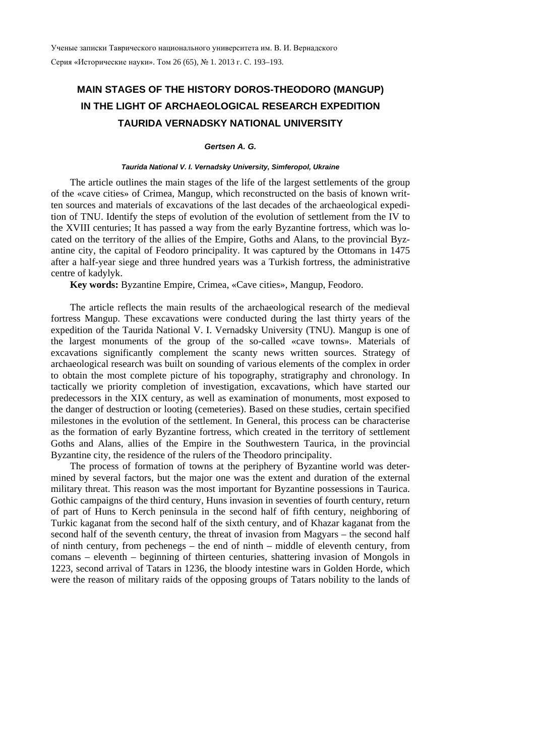# **MAIN STAGES OF THE HISTORY DOROS-THEODORO (MANGUP) IN THE LIGHT OF ARCHAEOLOGICAL RESEARCH EXPEDITION TAURIDA VERNADSKY NATIONAL UNIVERSITY**

## *Gertsen A. G.*

#### *Taurida National V. I. Vernadsky University, Simferopol, Ukraine*

The article outlines the main stages of the life of the largest settlements of the group of the «cave cities» of Crimea, Mangup, which reconstructed on the basis of known written sources and materials of excavations of the last decades of the archaeological expedition of TNU. Identify the steps of evolution of the evolution of settlement from the IV to the XVIII centuries; It has passed a way from the early Byzantine fortress, which was located on the territory of the allies of the Empire, Goths and Alans, to the provincial Byzantine city, the capital of Feodoro principality. It was captured by the Ottomans in 1475 after a half-year siege and three hundred years was a Turkish fortress, the administrative centre of kadylyk.

**Key words:** Byzantine Empire, Crimea, «Cave cities», Mangup, Feodoro.

The article reflects the main results of the archaeological research of the medieval fortress Mangup. These excavations were conducted during the last thirty years of the expedition of the Taurida National V. I. Vernadsky University (TNU). Mangup is one of the largest monuments of the group of the so-called «cave towns». Materials of excavations significantly complement the scanty news written sources. Strategy of archaeological research was built on sounding of various elements of the complex in order to obtain the most complete picture of his topography, stratigraphy and chronology. In tactically we priority completion of investigation, excavations, which have started our predecessors in the XIX century, as well as examination of monuments, most exposed to the danger of destruction or looting (cemeteries). Based on these studies, certain specified milestones in the evolution of the settlement. In General, this process can be characterise as the formation of early Byzantine fortress, which created in the territory of settlement Goths and Alans, allies of the Empire in the Southwestern Taurica, in the provincial Byzantine city, the residence of the rulers of the Theodoro principality.

The process of formation of towns at the periphery of Byzantine world was determined by several factors, but the major one was the extent and duration of the external military threat. This reason was the most important for Byzantine possessions in Taurica. Gothic campaigns of the third century, Huns invasion in seventies of fourth century, return of part of Huns to Kerch peninsula in the second half of fifth century, neighboring of Turkic kaganat from the second half of the sixth century, and of Khazar kaganat from the second half of the seventh century, the threat of invasion from Magyars – the second half of ninth century, from pechenegs – the end of ninth – middle of eleventh century, from comans – eleventh – beginning of thirteen centuries, shattering invasion of Mongols in 1223, second arrival of Tatars in 1236, the bloody intestine wars in Golden Horde, which were the reason of military raids of the opposing groups of Tatars nobility to the lands of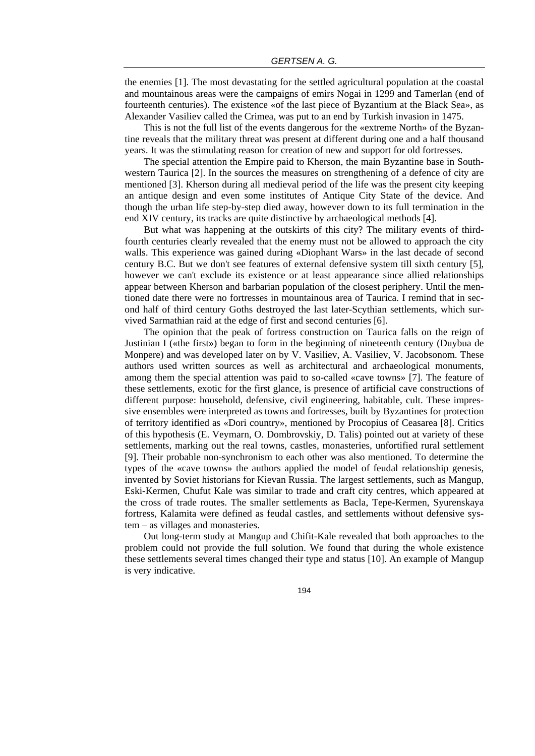the enemies [1]. The most devastating for the settled agricultural population at the coastal and mountainous areas were the campaigns of emirs Nogai in 1299 and Tamerlan (end of fourteenth centuries). The existence «of the last piece of Byzantium at the Black Sea», as Alexander Vasiliev called the Crimea, was put to an end by Turkish invasion in 1475.

This is not the full list of the events dangerous for the «extreme North» of the Byzantine reveals that the military threat was present at different during one and a half thousand years. It was the stimulating reason for creation of new and support for old fortresses.

The special attention the Empire paid to Kherson, the main Byzantine base in Southwestern Taurica [2]. In the sources the measures on strengthening of a defence of city are mentioned [3]. Kherson during all medieval period of the life was the present city keeping an antique design and even some institutes of Antique City State of the device. And though the urban life step-by-step died away, however down to its full termination in the end XIV century, its tracks are quite distinctive by archaeological methods [4].

But what was happening at the outskirts of this city? The military events of thirdfourth centuries clearly revealed that the enemy must not be allowed to approach the city walls. This experience was gained during «Diophant Wars» in the last decade of second century B.C. But we don't see features of external defensive system till sixth century [5], however we can't exclude its existence or at least appearance since allied relationships appear between Kherson and barbarian population of the closest periphery. Until the mentioned date there were no fortresses in mountainous area of Taurica. I remind that in second half of third century Goths destroyed the last later-Scythian settlements, which survived Sarmathian raid at the edge of first and second centuries [6].

The opinion that the peak of fortress construction on Taurica falls on the reign of Justinian I («the first») began to form in the beginning of nineteenth century (Duybua de Monpere) and was developed later on by V. Vasiliev, A. Vasiliev, V. Jacobsonom. These authors used written sources as well as architectural and archaeological monuments, among them the special attention was paid to so-called «cave towns» [7]. The feature of these settlements, exotic for the first glance, is presence of artificial cave constructions of different purpose: household, defensive, civil engineering, habitable, cult. These impressive ensembles were interpreted as towns and fortresses, built by Byzantines for protection of territory identified as «Dori country», mentioned by Procopius of Ceasarea [8]. Critics of this hypothesis (E. Veymarn, O. Dombrovskiy, D. Talis) pointed out at variety of these settlements, marking out the real towns, castles, monasteries, unfortified rural settlement [9]. Their probable non-synchronism to each other was also mentioned. To determine the types of the «cave towns» the authors applied the model of feudal relationship genesis, invented by Soviet historians for Kievan Russia. The largest settlements, such as Mangup, Eski-Kermen, Chufut Kale was similar to trade and craft city centres, which appeared at the cross of trade routes. The smaller settlements as Bacla, Tepe-Kermen, Syurenskaya fortress, Kalamita were defined as feudal castles, and settlements without defensive system – as villages and monasteries.

Out long-term study at Mangup and Chifit-Kale revealed that both approaches to the problem could not provide the full solution. We found that during the whole existence these settlements several times changed their type and status [10]. An example of Mangup is very indicative.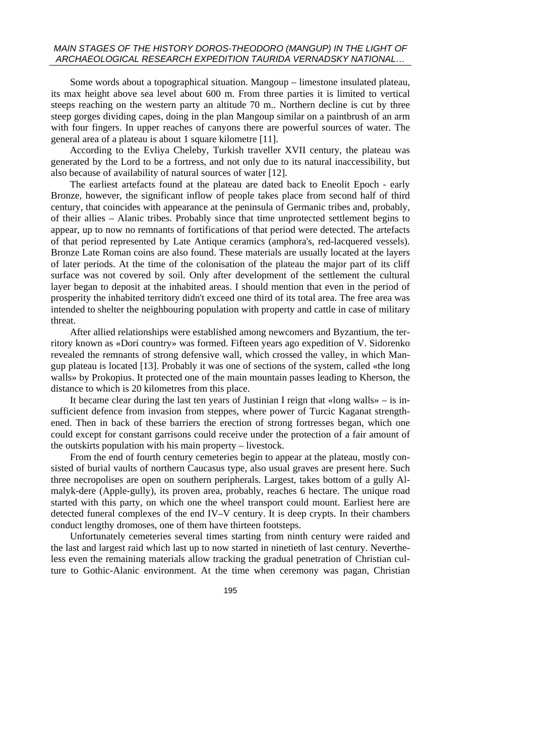## *MAIN STAGES OF THE HISTORY DOROS-THEODORO (MANGUP) IN THE LIGHT OF ARCHAEOLOGICAL RESEARCH EXPEDITION TAURIDA VERNADSKY NATIONAL…*

Some words about a topographical situation. Mangoup – limestone insulated plateau, its max height above sea level about 600 m. From three parties it is limited to vertical steeps reaching on the western party an altitude 70 m.. Northern decline is cut by three steep gorges dividing capes, doing in the plan Mangoup similar on a paintbrush of an arm with four fingers. In upper reaches of canyons there are powerful sources of water. The general area of a plateau is about 1 square kilometre [11].

According to the Evliya Cheleby, Turkish traveller XVII century, the plateau was generated by the Lord to be a fortress, and not only due to its natural inaccessibility, but also because of availability of natural sources of water [12].

The earliest artefacts found at the plateau are dated back to Eneolit Epoch - early Bronze, however, the significant inflow of people takes place from second half of third century, that coincides with appearance at the peninsula of Germanic tribes and, probably, of their allies – Alanic tribes. Probably since that time unprotected settlement begins to appear, up to now no remnants of fortifications of that period were detected. The artefacts of that period represented by Late Antique ceramics (amphora's, red-lacquered vessels). Bronze Late Roman coins are also found. These materials are usually located at the layers of later periods. At the time of the colonisation of the plateau the major part of its cliff surface was not covered by soil. Only after development of the settlement the cultural layer began to deposit at the inhabited areas. I should mention that even in the period of prosperity the inhabited territory didn't exceed one third of its total area. The free area was intended to shelter the neighbouring population with property and cattle in case of military threat.

After allied relationships were established among newcomers and Byzantium, the territory known as «Dori country» was formed. Fifteen years ago expedition of V. Sidorenko revealed the remnants of strong defensive wall, which crossed the valley, in which Mangup plateau is located [13]. Probably it was one of sections of the system, called «the long walls» by Prokopius. It protected one of the main mountain passes leading to Kherson, the distance to which is 20 kilometres from this place.

It became clear during the last ten years of Justinian I reign that «long walls» – is insufficient defence from invasion from steppes, where power of Turcic Kaganat strengthened. Then in back of these barriers the erection of strong fortresses began, which one could except for constant garrisons could receive under the protection of a fair amount of the outskirts population with his main property – livestock.

From the end of fourth century cemeteries begin to appear at the plateau, mostly consisted of burial vaults of northern Caucasus type, also usual graves are present here. Such three necropolises are open on southern peripherals. Largest, takes bottom of a gully Almalyk-dere (Apple-gully), its proven area, probably, reaches 6 hectare. The unique road started with this party, on which one the wheel transport could mount. Earliest here are detected funeral complexes of the end IV–V century. It is deep crypts. In their chambers conduct lengthy dromoses, one of them have thirteen footsteps.

Unfortunately cemeteries several times starting from ninth century were raided and the last and largest raid which last up to now started in ninetieth of last century. Nevertheless even the remaining materials allow tracking the gradual penetration of Christian culture to Gothic-Alanic environment. At the time when ceremony was pagan, Christian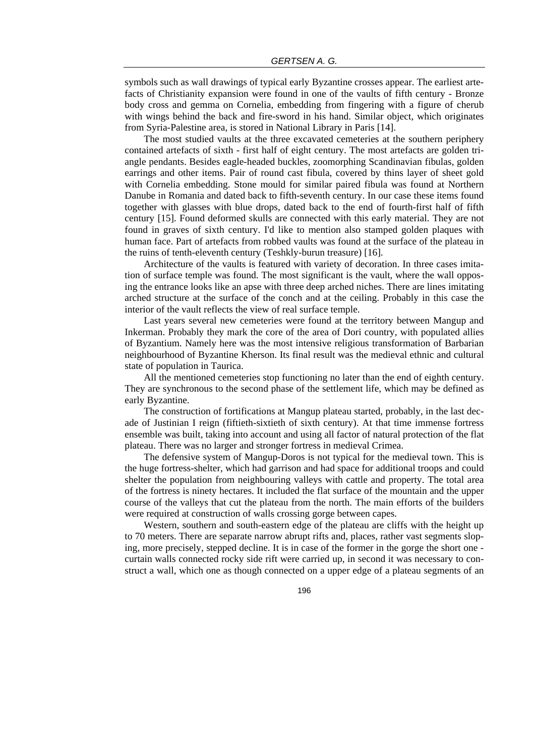symbols such as wall drawings of typical early Byzantine crosses appear. The earliest artefacts of Christianity expansion were found in one of the vaults of fifth century - Bronze body cross and gemma on Cornelia, embedding from fingering with a figure of cherub with wings behind the back and fire-sword in his hand. Similar object, which originates from Syria-Palestine area, is stored in National Library in Paris [14].

The most studied vaults at the three excavated cemeteries at the southern periphery contained artefacts of sixth - first half of eight century. The most artefacts are golden triangle pendants. Besides eagle-headed buckles, zoomorphing Scandinavian fibulas, golden earrings and other items. Pair of round cast fibula, covered by thins layer of sheet gold with Cornelia embedding. Stone mould for similar paired fibula was found at Northern Danube in Romania and dated back to fifth-seventh century. In our case these items found together with glasses with blue drops, dated back to the end of fourth-first half of fifth century [15]. Found deformed skulls are connected with this early material. They are not found in graves of sixth century. I'd like to mention also stamped golden plaques with human face. Part of artefacts from robbed vaults was found at the surface of the plateau in the ruins of tenth-eleventh century (Teshkly-burun treasure) [16].

Architecture of the vaults is featured with variety of decoration. In three cases imitation of surface temple was found. The most significant is the vault, where the wall opposing the entrance looks like an apse with three deep arched niches. There are lines imitating arched structure at the surface of the conch and at the ceiling. Probably in this case the interior of the vault reflects the view of real surface temple.

Last years several new cemeteries were found at the territory between Mangup and Inkerman. Probably they mark the core of the area of Dori country, with populated allies of Byzantium. Namely here was the most intensive religious transformation of Barbarian neighbourhood of Byzantine Kherson. Its final result was the medieval ethnic and cultural state of population in Taurica.

All the mentioned cemeteries stop functioning no later than the end of eighth century. They are synchronous to the second phase of the settlement life, which may be defined as early Byzantine.

The construction of fortifications at Mangup plateau started, probably, in the last decade of Justinian I reign (fiftieth-sixtieth of sixth century). At that time immense fortress ensemble was built, taking into account and using all factor of natural protection of the flat plateau. There was no larger and stronger fortress in medieval Crimea.

The defensive system of Mangup-Doros is not typical for the medieval town. This is the huge fortress-shelter, which had garrison and had space for additional troops and could shelter the population from neighbouring valleys with cattle and property. The total area of the fortress is ninety hectares. It included the flat surface of the mountain and the upper course of the valleys that cut the plateau from the north. The main efforts of the builders were required at construction of walls crossing gorge between capes.

Western, southern and south-eastern edge of the plateau are cliffs with the height up to 70 meters. There are separate narrow abrupt rifts and, places, rather vast segments sloping, more precisely, stepped decline. It is in case of the former in the gorge the short one curtain walls connected rocky side rift were carried up, in second it was necessary to construct a wall, which one as though connected on a upper edge of a plateau segments of an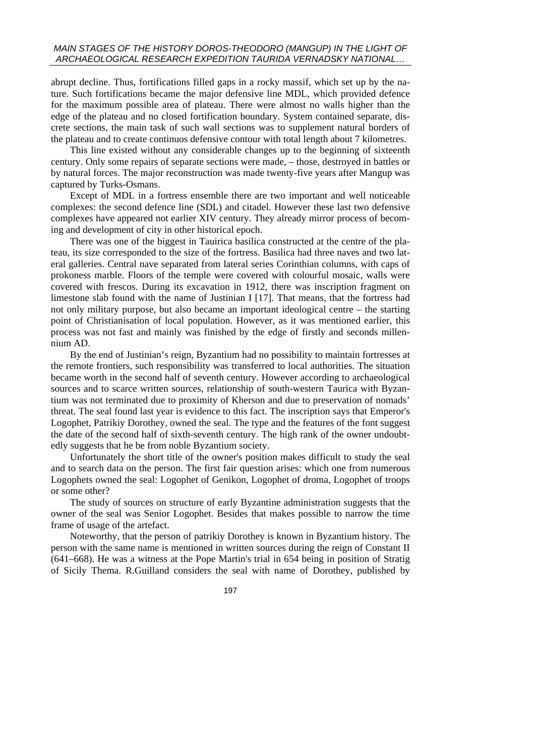abrupt decline. Thus, fortifications filled gaps in a rocky massif, which set up by the nature. Such fortifications became the major defensive line MDL, which provided defence for the maximum possible area of plateau. There were almost no walls higher than the edge of the plateau and no closed fortification boundary. System contained separate, discrete sections, the main task of such wall sections was to supplement natural borders of the plateau and to create continuos defensive contour with total length about 7 kilometres.

This line existed without any considerable changes up to the beginning of sixteenth century. Only some repairs of separate sections were made, – those, destroyed in battles or by natural forces. The major reconstruction was made twenty-five years after Mangup was captured by Turks-Osmans.

Except of MDL in a fortress ensemble there are two important and well noticeable complexes: the second defence line (SDL) and citadel. However these last two defensive complexes have appeared not earlier XIV century. They already mirror process of becoming and development of city in other historical epoch.

There was one of the biggest in Tauirica basilica constructed at the centre of the plateau, its size corresponded to the size of the fortress. Basilica had three naves and two lateral galleries. Central nave separated from lateral series Corinthian columns, with caps of prokoness marble. Floors of the temple were covered with colourful mosaic, walls were covered with frescos. During its excavation in 1912, there was inscription fragment on limestone slab found with the name of Justinian I [17]. That means, that the fortress had not only military purpose, but also became an important ideological centre – the starting point of Christianisation of local population. However, as it was mentioned earlier, this process was not fast and mainly was finished by the edge of firstly and seconds millennium AD.

By the end of Justinian's reign, Byzantium had no possibility to maintain fortresses at the remote frontiers, such responsibility was transferred to local authorities. The situation became worth in the second half of seventh century. However according to archaeological sources and to scarce written sources, relationship of south-western Taurica with Byzantium was not terminated due to proximity of Kherson and due to preservation of nomads' threat. The seal found last year is evidence to this fact. The inscription says that Emperor's Logophet, Patrikiy Dorothey, owned the seal. The type and the features of the font suggest the date of the second half of sixth-seventh century. The high rank of the owner undoubtedly suggests that he be from noble Byzantium society.

Unfortunately the short title of the owner's position makes difficult to study the seal and to search data on the person. The first fair question arises: which one from numerous Logophets owned the seal: Logophet of Genikon, Logophet of droma, Logophet of troops or some other?

The study of sources on structure of early Byzantine administration suggests that the owner of the seal was Senior Logophet. Besides that makes possible to narrow the time frame of usage of the artefact.

Noteworthy, that the person of patrikiy Dorothey is known in Byzantium history. The person with the same name is mentioned in written sources during the reign of Constant II (641–668). He was a witness at the Pope Martin's trial in 654 being in position of Stratig of Sicily Thema. R.Guilland considers the seal with name of Dorothey, published by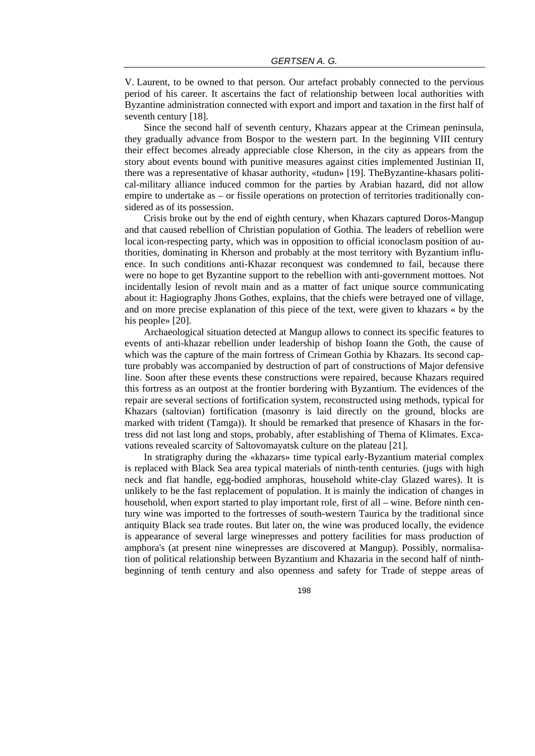V. Laurent, to be owned to that person. Our artefact probably connected to the pervious period of his career. It ascertains the fact of relationship between local authorities with Byzantine administration connected with export and import and taxation in the first half of seventh century [18].

Since the second half of seventh century, Khazars appear at the Crimean peninsula, they gradually advance from Bospor to the western part. In the beginning VIII century their effect becomes already appreciable close Kherson, in the city as appears from the story about events bound with punitive measures against cities implemented Justinian II, there was a representative of khasar authority, «tudun» [19]. TheByzantine-khasars political-military alliance induced common for the parties by Arabian hazard, did not allow empire to undertake as – or fissile operations on protection of territories traditionally considered as of its possession.

Crisis broke out by the end of eighth century, when Khazars captured Doros-Mangup and that caused rebellion of Christian population of Gothia. The leaders of rebellion were local icon-respecting party, which was in opposition to official iconoclasm position of authorities, dominating in Kherson and probably at the most territory with Byzantium influence. In such conditions anti-Khazar reconquest was condemned to fail, because there were no hope to get Byzantine support to the rebellion with anti-government mottoes. Not incidentally lesion of revolt main and as a matter of fact unique source communicating about it: Hagiography Jhons Gothes, explains, that the chiefs were betrayed one of village, and on more precise explanation of this piece of the text, were given to khazars « by the his people» [20].

Archaeological situation detected at Mangup allows to connect its specific features to events of anti-khazar rebellion under leadership of bishop Ioann the Goth, the cause of which was the capture of the main fortress of Crimean Gothia by Khazars. Its second capture probably was accompanied by destruction of part of constructions of Major defensive line. Soon after these events these constructions were repaired, because Khazars required this fortress as an outpost at the frontier bordering with Byzantium. The evidences of the repair are several sections of fortification system, reconstructed using methods, typical for Khazars (saltovian) fortification (masonry is laid directly on the ground, blocks are marked with trident (Tamga)). It should be remarked that presence of Khasars in the fortress did not last long and stops, probably, after establishing of Thema of Klimates. Excavations revealed scarcity of Saltovomayatsk culture on the plateau [21].

In stratigraphy during the «khazars» time typical early-Byzantium material complex is replaced with Black Sea area typical materials of ninth-tenth centuries. (jugs with high neck and flat handle, egg-bodied amphoras, household white-clay Glazed wares). It is unlikely to be the fast replacement of population. It is mainly the indication of changes in household, when export started to play important role, first of all – wine. Before ninth century wine was imported to the fortresses of south-western Taurica by the traditional since antiquity Black sea trade routes. But later on, the wine was produced locally, the evidence is appearance of several large winepresses and pottery facilities for mass production of amphora's (at present nine winepresses are discovered at Mangup). Possibly, normalisation of political relationship between Byzantium and Khazaria in the second half of ninthbeginning of tenth century and also openness and safety for Trade of steppe areas of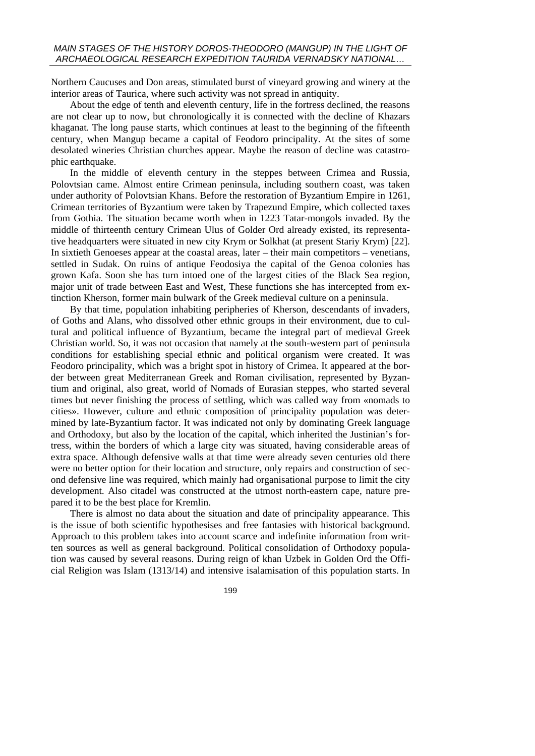Northern Caucuses and Don areas, stimulated burst of vineyard growing and winery at the interior areas of Taurica, where such activity was not spread in antiquity.

About the edge of tenth and eleventh century, life in the fortress declined, the reasons are not clear up to now, but chronologically it is connected with the decline of Khazars khaganat. The long pause starts, which continues at least to the beginning of the fifteenth century, when Mangup became a capital of Feodoro principality. At the sites of some desolated wineries Christian churches appear. Maybe the reason of decline was catastrophic earthquake.

In the middle of eleventh century in the steppes between Crimea and Russia, Polovtsian came. Almost entire Crimean peninsula, including southern coast, was taken under authority of Polovtsian Khans. Before the restoration of Byzantium Empire in 1261, Crimean territories of Byzantium were taken by Trapezund Empire, which collected taxes from Gothia. The situation became worth when in 1223 Tatar-mongols invaded. By the middle of thirteenth century Crimean Ulus of Golder Ord already existed, its representative headquarters were situated in new city Krym or Solkhat (at present Stariy Krym) [22]. In sixtieth Genoeses appear at the coastal areas, later – their main competitors – venetians, settled in Sudak. On ruins of antique Feodosiya the capital of the Genoa colonies has grown Kafa. Soon she has turn intoed one of the largest cities of the Black Sea region, major unit of trade between East and West, These functions she has intercepted from extinction Kherson, former main bulwark of the Greek medieval culture on a peninsula.

By that time, population inhabiting peripheries of Kherson, descendants of invaders, of Goths and Alans, who dissolved other ethnic groups in their environment, due to cultural and political influence of Byzantium, became the integral part of medieval Greek Christian world. So, it was not occasion that namely at the south-western part of peninsula conditions for establishing special ethnic and political organism were created. It was Feodoro principality, which was a bright spot in history of Crimea. It appeared at the border between great Mediterranean Greek and Roman civilisation, represented by Byzantium and original, also great, world of Nomads of Eurasian steppes, who started several times but never finishing the process of settling, which was called way from «nomads to cities». However, culture and ethnic composition of principality population was determined by late-Byzantium factor. It was indicated not only by dominating Greek language and Orthodoxy, but also by the location of the capital, which inherited the Justinian's fortress, within the borders of which a large city was situated, having considerable areas of extra space. Although defensive walls at that time were already seven centuries old there were no better option for their location and structure, only repairs and construction of second defensive line was required, which mainly had organisational purpose to limit the city development. Also citadel was constructed at the utmost north-eastern cape, nature prepared it to be the best place for Kremlin.

There is almost no data about the situation and date of principality appearance. This is the issue of both scientific hypothesises and free fantasies with historical background. Approach to this problem takes into account scarce and indefinite information from written sources as well as general background. Political consolidation of Orthodoxy population was caused by several reasons. During reign of khan Uzbek in Golden Ord the Official Religion was Islam (1313/14) and intensive isalamisation of this population starts. In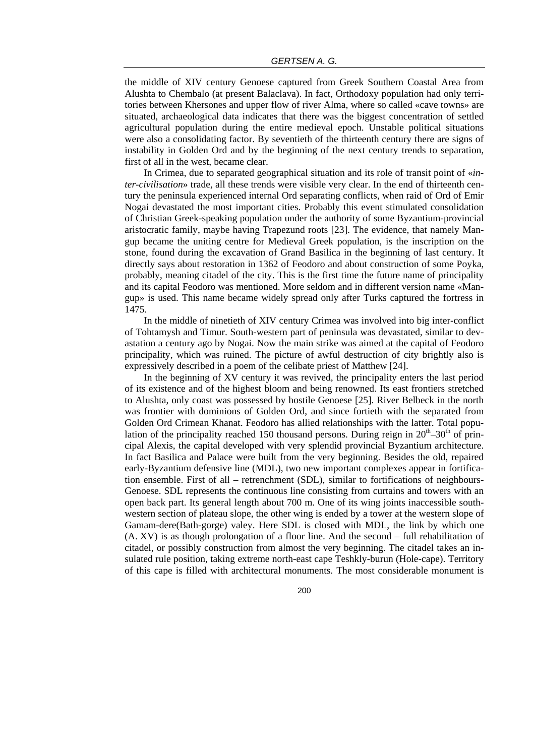the middle of XIV century Genoese captured from Greek Southern Coastal Area from Alushta to Chembalo (at present Balaclava). In fact, Orthodoxy population had only territories between Khersones and upper flow of river Alma, where so called «cave towns» are situated, archaeological data indicates that there was the biggest concentration of settled agricultural population during the entire medieval epoch. Unstable political situations were also a consolidating factor. By seventieth of the thirteenth century there are signs of instability in Golden Ord and by the beginning of the next century trends to separation, first of all in the west, became clear.

In Crimea, due to separated geographical situation and its role of transit point of «*inter-civilisation*» trade, all these trends were visible very clear. In the end of thirteenth century the peninsula experienced internal Ord separating conflicts, when raid of Ord of Emir Nogai devastated the most important cities. Probably this event stimulated consolidation of Christian Greek-speaking population under the authority of some Byzantium-provincial aristocratic family, maybe having Trapezund roots [23]. The evidence, that namely Mangup became the uniting centre for Medieval Greek population, is the inscription on the stone, found during the excavation of Grand Basilica in the beginning of last century. It directly says about restoration in 1362 of Feodoro and about construction of some Poyka, probably, meaning citadel of the city. This is the first time the future name of principality and its capital Feodoro was mentioned. More seldom and in different version name «Mangup» is used. This name became widely spread only after Turks captured the fortress in 1475.

In the middle of ninetieth of XIV century Crimea was involved into big inter-conflict of Tohtamysh and Timur. South-western part of peninsula was devastated, similar to devastation a century ago by Nogai. Now the main strike was aimed at the capital of Feodoro principality, which was ruined. The picture of awful destruction of city brightly also is expressively described in a poem of the celibate priest of Matthew [24].

In the beginning of XV century it was revived, the principality enters the last period of its existence and of the highest bloom and being renowned. Its east frontiers stretched to Alushta, only coast was possessed by hostile Genoese [25]. River Belbeck in the north was frontier with dominions of Golden Ord, and since fortieth with the separated from Golden Ord Crimean Khanat. Feodoro has allied relationships with the latter. Total population of the principality reached 150 thousand persons. During reign in  $20^{th} - 30^{th}$  of principal Alexis, the capital developed with very splendid provincial Byzantium architecture. In fact Basilica and Palace were built from the very beginning. Besides the old, repaired early-Byzantium defensive line (MDL), two new important complexes appear in fortification ensemble. First of all – retrenchment (SDL), similar to fortifications of neighbours-Genoese. SDL represents the continuous line consisting from curtains and towers with an open back part. Its general length about 700 m. One of its wing joints inaccessible southwestern section of plateau slope, the other wing is ended by a tower at the western slope of Gamam-dere(Bath-gorge) valey. Here SDL is closed with MDL, the link by which one (A. XV) is as though prolongation of a floor line. And the second – full rehabilitation of citadel, or possibly construction from almost the very beginning. The citadel takes an insulated rule position, taking extreme north-east cape Teshkly-burun (Hole-cape). Territory of this cape is filled with architectural monuments. The most considerable monument is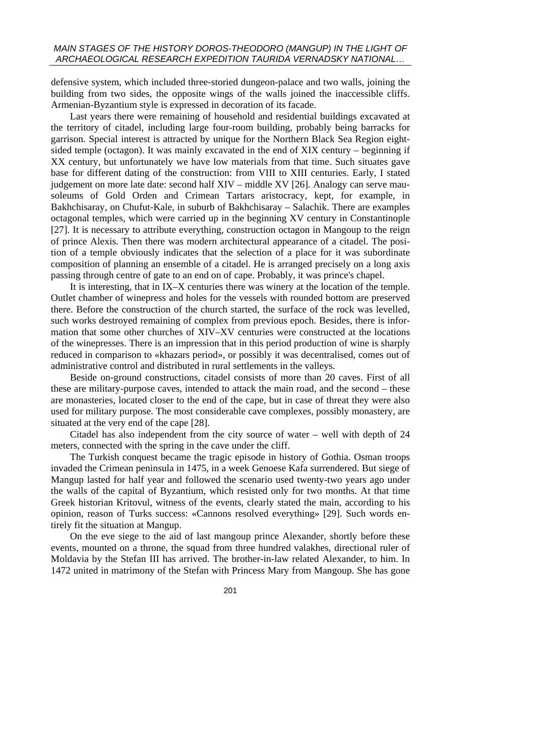defensive system, which included three-storied dungeon-palace and two walls, joining the building from two sides, the opposite wings of the walls joined the inaccessible cliffs. Armenian-Byzantium style is expressed in decoration of its facade.

Last years there were remaining of household and residential buildings excavated at the territory of citadel, including large four-room building, probably being barracks for garrison. Special interest is attracted by unique for the Northern Black Sea Region eightsided temple (octagon). It was mainly excavated in the end of XIX century – beginning if XX century, but unfortunately we have low materials from that time. Such situates gave base for different dating of the construction: from VIII to XIII centuries. Early, I stated judgement on more late date: second half XIV – middle XV [26]. Analogy can serve mausoleums of Gold Orden and Crimean Tartars aristocracy, kept, for example, in Bakhchisaray, on Chufut-Kale, in suburb of Bakhchisaray – Salachik. There are examples octagonal temples, which were carried up in the beginning XV century in Constantinople [27]. It is necessary to attribute everything, construction octagon in Mangoup to the reign of prince Alexis. Then there was modern architectural appearance of a citadel. The position of a temple obviously indicates that the selection of a place for it was subordinate composition of planning an ensemble of a citadel. He is arranged precisely on a long axis passing through centre of gate to an end on of cape. Probably, it was prince's chapel.

It is interesting, that in IX–X centuries there was winery at the location of the temple. Outlet chamber of winepress and holes for the vessels with rounded bottom are preserved there. Before the construction of the church started, the surface of the rock was levelled, such works destroyed remaining of complex from previous epoch. Besides, there is information that some other churches of XIV–XV centuries were constructed at the locations of the winepresses. There is an impression that in this period production of wine is sharply reduced in comparison to «khazars period», or possibly it was decentralised, comes out of administrative control and distributed in rural settlements in the valleys.

Beside on-ground constructions, citadel consists of more than 20 caves. First of all these are military-purpose caves, intended to attack the main road, and the second – these are monasteries, located closer to the end of the cape, but in case of threat they were also used for military purpose. The most considerable cave complexes, possibly monastery, are situated at the very end of the cape [28].

Citadel has also independent from the city source of water – well with depth of 24 meters, connected with the spring in the cave under the cliff.

The Turkish conquest became the tragic episode in history of Gothia. Osman troops invaded the Crimean peninsula in 1475, in a week Genoese Kafa surrendered. But siege of Mangup lasted for half year and followed the scenario used twenty-two years ago under the walls of the capital of Byzantium, which resisted only for two months. At that time Greek historian Kritovul, witness of the events, clearly stated the main, according to his opinion, reason of Turks success: «Cannons resolved everything» [29]. Such words entirely fit the situation at Mangup.

On the eve siege to the aid of last mangoup prince Alexander, shortly before these events, mounted on a throne, the squad from three hundred valakhes, directional ruler of Moldavia by the Stefan III has arrived. The brother-in-law related Alexander, to him. In 1472 united in matrimony of the Stefan with Princess Mary from Mangoup. She has gone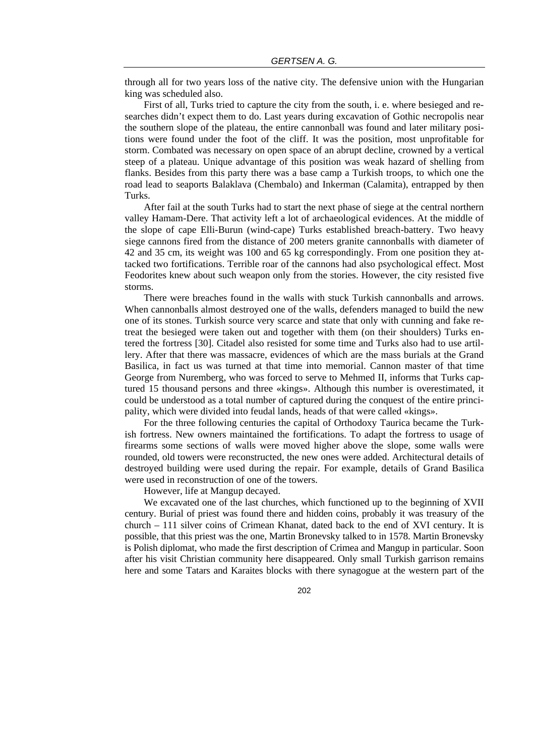through all for two years loss of the native city. The defensive union with the Hungarian king was scheduled also.

First of all, Turks tried to capture the city from the south, i. e. where besieged and researches didn't expect them to do. Last years during excavation of Gothic necropolis near the southern slope of the plateau, the entire cannonball was found and later military positions were found under the foot of the cliff. It was the position, most unprofitable for storm. Combated was necessary on open space of an abrupt decline, crowned by a vertical steep of a plateau. Unique advantage of this position was weak hazard of shelling from flanks. Besides from this party there was a base camp a Turkish troops, to which one the road lead to seaports Balaklava (Chembalo) and Inkerman (Calamita), entrapped by then Turks.

After fail at the south Turks had to start the next phase of siege at the central northern valley Hamam-Dere. That activity left a lot of archaeological evidences. At the middle of the slope of cape Elli-Burun (wind-cape) Turks established breach-battery. Two heavy siege cannons fired from the distance of 200 meters granite cannonballs with diameter of 42 and 35 cm, its weight was 100 and 65 kg correspondingly. From one position they attacked two fortifications. Terrible roar of the cannons had also psychological effect. Most Feodorites knew about such weapon only from the stories. However, the city resisted five storms.

There were breaches found in the walls with stuck Turkish cannonballs and arrows. When cannonballs almost destroyed one of the walls, defenders managed to build the new one of its stones. Turkish source very scarce and state that only with cunning and fake retreat the besieged were taken out and together with them (on their shoulders) Turks entered the fortress [30]. Citadel also resisted for some time and Turks also had to use artillery. After that there was massacre, evidences of which are the mass burials at the Grand Basilica, in fact us was turned at that time into memorial. Cannon master of that time George from Nuremberg, who was forced to serve to Mehmed II, informs that Turks captured 15 thousand persons and three «kings». Although this number is overestimated, it could be understood as a total number of captured during the conquest of the entire principality, which were divided into feudal lands, heads of that were called «kings».

For the three following centuries the capital of Orthodoxy Taurica became the Turkish fortress. New owners maintained the fortifications. To adapt the fortress to usage of firearms some sections of walls were moved higher above the slope, some walls were rounded, old towers were reconstructed, the new ones were added. Architectural details of destroyed building were used during the repair. For example, details of Grand Basilica were used in reconstruction of one of the towers.

However, life at Mangup decayed.

We excavated one of the last churches, which functioned up to the beginning of XVII century. Burial of priest was found there and hidden coins, probably it was treasury of the church – 111 silver coins of Crimean Khanat, dated back to the end of XVI century. It is possible, that this priest was the one, Martin Bronevsky talked to in 1578. Martin Bronevsky is Polish diplomat, who made the first description of Crimea and Mangup in particular. Soon after his visit Christian community here disappeared. Only small Turkish garrison remains here and some Tatars and Karaites blocks with there synagogue at the western part of the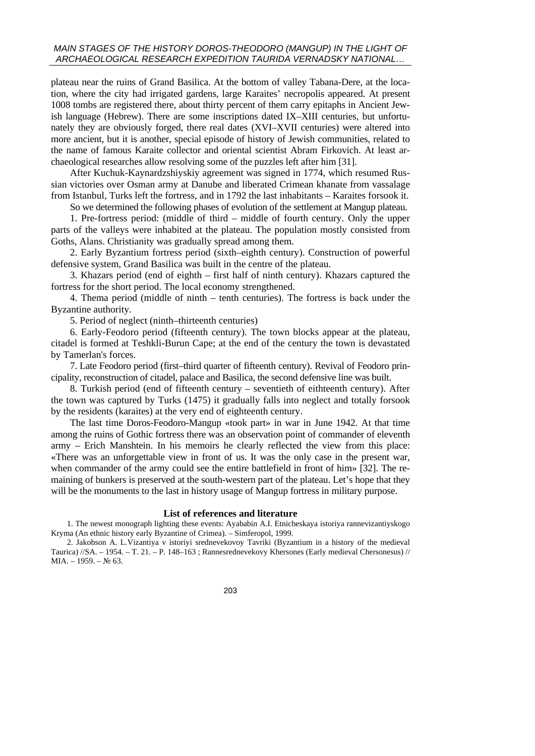## *MAIN STAGES OF THE HISTORY DOROS-THEODORO (MANGUP) IN THE LIGHT OF ARCHAEOLOGICAL RESEARCH EXPEDITION TAURIDA VERNADSKY NATIONAL…*

plateau near the ruins of Grand Basilica. At the bottom of valley Tabana-Dere, at the location, where the city had irrigated gardens, large Karaites' necropolis appeared. At present 1008 tombs are registered there, about thirty percent of them carry epitaphs in Ancient Jewish language (Hebrew). There are some inscriptions dated IX–XIII centuries, but unfortunately they are obviously forged, there real dates (XVI–XVII centuries) were altered into more ancient, but it is another, special episode of history of Jewish communities, related to the name of famous Karaite collector and oriental scientist Abram Firkovich. At least archaeological researches allow resolving some of the puzzles left after him [31].

After Kuchuk-Kaynardzshiyskiy agreement was signed in 1774, which resumed Russian victories over Osman army at Danube and liberated Crimean khanate from vassalage from Istanbul, Turks left the fortress, and in 1792 the last inhabitants – Karaites forsook it.

So we determined the following phases of evolution of the settlement at Mangup plateau.

1. Pre-fortress period: (middle of third – middle of fourth century. Only the upper parts of the valleys were inhabited at the plateau. The population mostly consisted from Goths, Alans. Christianity was gradually spread among them.

2. Early Byzantium fortress period (sixth–eighth century). Construction of powerful defensive system, Grand Basilica was built in the centre of the plateau.

3. Khazars period (end of eighth – first half of ninth century). Khazars captured the fortress for the short period. The local economy strengthened.

4. Thema period (middle of ninth – tenth centuries). The fortress is back under the Byzantine authority.

5. Period of neglect (ninth–thirteenth centuries)

6. Early-Feodoro period (fifteenth century). The town blocks appear at the plateau, citadel is formed at Teshkli-Burun Cape; at the end of the century the town is devastated by Tamerlan's forces.

7. Late Feodoro period (first–third quarter of fifteenth century). Revival of Feodoro principality, reconstruction of citadel, palace and Basilica, the second defensive line was built.

8. Turkish period (end of fifteenth century – seventieth of eithteenth century). After the town was captured by Turks (1475) it gradually falls into neglect and totally forsook by the residents (karaites) at the very end of eighteenth century.

The last time Doros-Feodoro-Mangup «took part» in war in June 1942. At that time among the ruins of Gothic fortress there was an observation point of commander of eleventh army – Erich Manshtein. In his memoirs he clearly reflected the view from this place: «There was an unforgettable view in front of us. It was the only case in the present war, when commander of the army could see the entire battlefield in front of him» [32]. The remaining of bunkers is preserved at the south-western part of the plateau. Let's hope that they will be the monuments to the last in history usage of Mangup fortress in military purpose.

#### **List of references and literature**

1. The newest monograph lighting these events: Ayababin A.I. Etnicheskaya istoriya rannevizantiyskogo Kryma (An ethnic history early Byzantine of Crimea). – Simferopol, 1999.

2. Jakobson A. L.Vizantiya v istoriyi srednevekovoy Tavriki (Byzantium in a history of the medieval Taurica) //SA. – 1954. – T. 21. – P. 148–163 ; Rannesrednevekovy Khersones (Early medieval Chersonesus) //  $MIA. - 1959. - N<sub>2</sub> 63.$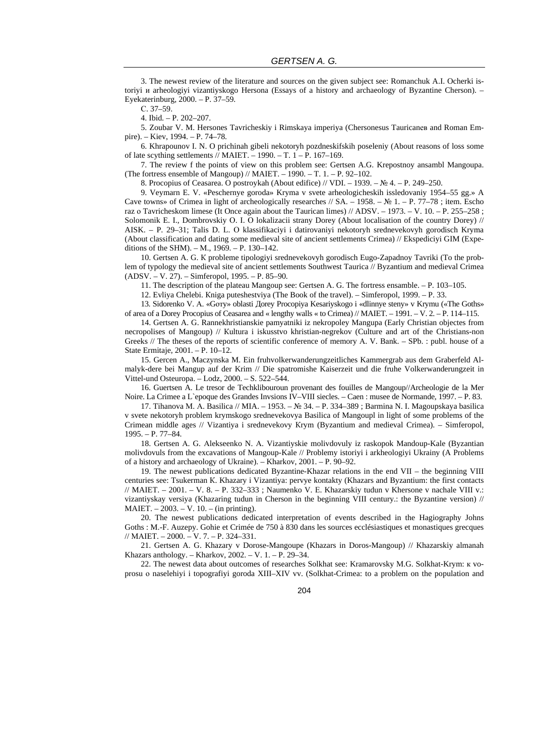3. The newest review of the literature and sources on the given subject see: Romanchuk A.I. Ocherki istoriyi и arheologiyi vizantiyskogo Hersona (Essays of a history and archaeology of Byzantine Cherson). – Eyekaterinburg, 2000. – P. 37–59.

С. 37–59.

4. Ibid. – P. 202–207.

5. Zoubar V. M. Hersones Tavricheskiy i Rimskaya imperiya (Chersonesus Tauricanев and Roman Empire). – Kiev, 1994. – P. 74–78.

6. Khrapounov I. N. O prichinah gibeli nekotoryh pozdneskifskih poseleniy (About reasons of loss some of late scything settlements // MAIET. – 1990. – T. 1 – P. 167–169.

7. The review f the points of view on this problem see: Gertsen A.G. Krepostnoy ansambl Mangoupa. (The fortress ensemble of Mangoup) // MAIET.  $-$  1990.  $-$  T. 1.  $-$  P. 92–102.

8. Procopius of Ceasarea. O postroykah (About edifice) // VDI. – 1939. – № 4. – P. 249–250.

9. Veymarn E. V. «Peschernye goroda» Kryma v svete arheologicheskih issledovaniy 1954–55 gg.» A Cave towns» of Crimea in light of archeologically researches // SA. – 1958. – № 1. – P. 77–78; item. Escho raz о Tavricheskom limese (It Once again about the Taurican limes) // ADSV. – 1973. – V. 10. – P. 255–258 ; Solomonik E. I., Dombrovskiy O. I. O lokalizacii strany Dorey (About localisation of the country Dorey) // AISK. – P. 29–31; Talis D. L. О klassifikaciyi i datirovaniyi nekotoryh srednevekovyh gorodisch Kryma (About classification and dating some medieval site of ancient settlements Crimea) // Ekspediciyi GIM (Expeditions of the SHM). – М., 1969. – P. 130–142.

10. Gertsen A. G. К probleme tipologiyi srednevekovyh gorodisch Eugo-Zapadnoy Tavriki (To the problem of typology the medieval site of ancient settlements Southwest Taurica // Byzantium and medieval Crimea (ADSV. – V. 27). – Simferopol, 1995. – P. 85–90.

11. The description of the plateau Mangoup see: Gertsen А. G. The fortress ensamble. – P. 103–105.

12. Evliya Chelebi. Кniga puteshestviya (The Book of the travel). – Simferopol, 1999. – P. 33.

13. Sidorenko V. А. «Gотy» oblasti Дorey Procopiya Kesariyskogo i «dlinnye steny» v Krymu («The Goths» of area of a Dorey Procopius of Ceasarea and « lengthy walls « to Crimea) // MAIET. – 1991. – V. 2. – P. 114–115.

14. Gertsen A. G. Rannekhristianskie pamyatniki iz nekropoley Mangupa (Early Christian objectes from necropolises of Mangoup) // Кultura i iskusstvo khristian-negrekov (Culture and art of the Christians-non Greeks // The theses of the reports of scientific conference of memory А. V. Bаnk. – SPb. : publ. house of a State Ermitaje, 2001. – P. 10–12.

15. Gercen A., Maczynska M. Ein fruhvolkerwanderungzeitliches Kammergrab aus dem Graberfeld Almalyk-dere bei Mangup auf der Krim // Die spatromishe Kaiserzeit und die fruhe Volkerwanderungzeit in Vittel-und Osteuropa. – Lodz, 2000. – S. 522–544.

16. Guertsen A. Le tresor de Techklibouroun provenant des fouilles de Mangoup//Archeologie de la Mer Noire. La Crimee a L`epoque des Grandes Invsions IV–VIII siecles. – Caen : musee de Normande, 1997. – P. 83.

17. Tihanova М. А. Basilica // MIA. – 1953. – № 34. – P. 334–389 ; Barmina N. I. Magoupskaya basilica v svete nekotoryh problem krymskogo srednevekovya Basilica of Mangoupl in light of some problems of the Crimean middle ages // Vizantiya i srednevekovy Кrym (Byzantium and medieval Crimea). – Simferopol, 1995. – P. 77–84.

18. Gertsen А. G. Аlekseenko N. А. Vizantiyskie molivdovuly iz raskopok Mandoup-Kale (Byzantian molivdovuls from the excavations of Маngoup-Kale // Problemy istoriyi i аrkheologiyi Ukrainy (A Problems of a history and archaeology of Ukraine). – Kharkov, 2001. – P. 90–92.

19. The newest publications dedicated Byzantine-Khazar relations in the end VII – the beginning VIII centuries see: Tsukerman К. Khazary i Vizantiya: pervye kontakty (Khazars and Byzantium: the first contacts // MAIET. – 2001. – V. 8. – P. 332–333 ; Naumenko V. Е. Khazarskiy tudun v Khersone v nachale VIII v.: vizantiyskay versiya (Khazaring tudun in Cherson in the beginning VIII century.: the Byzantine version) // MAIET. – 2003. – V. 10. – (in printing).

20. The newest publications dedicated interpretation of events described in the Hagiography Johns Goths : M.-F. Auzepy. Gohie et Crimée de 750 à 830 dans les sources ecclésiastiques et monastiques grecques // МАIEТ. – 2000. – V. 7. – P. 324–331.

21. Gertsen A. G. Khazary v Dorose-Mangoupe (Khazars in Doros-Mangoup) // Khazarskiy almanah Khazars anthology. – Kharkov, 2002. – V. 1. – P. 29–34.

22. The newest data about outcomes of researches Solkhat see: Kramarovsky М.G. Solkhat-Krym: к voprosu о naselehiyi i topografiyi goroda XIII–XIV vv. (Solkhat-Crimea: to a problem on the population and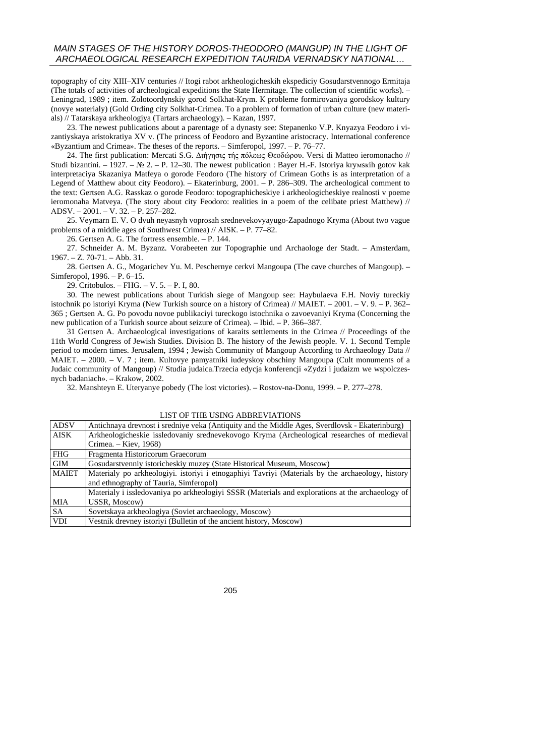topography of city XIII–XIV centuries // Itogi rabot arkheologicheskih ekspediciy Gosudarstvennogo Ermitaja (The totals of activities of archeological expeditions the State Hermitage. The collection of scientific works). – Leningrad, 1989 ; item. Zolotoordynskiy gorod Solkhat-Кrym. К probleme formirovaniya gorodskoy kultury (novye маterialy) (Gold Ording city Solkhat-Crimea. To a problem of formation of urban culture (new materials) // Tatarskaya аrkheologiya (Tartars archaeology). – Kazan, 1997.

23. The newest publications about a parentage of a dynasty see: Stepanenko V.P. Knyazya Feodoro i vizantiyskaya aristokratiya XV v. (The princess of Feodoro and Byzantine aristocracy. International conference «Byzantium and Crimea». The theses of the reports. – Simferopol, 1997. – P. 76–77.

24. The first publication: Mercati S.G. Διήγησις τής πόλεως Θεοδώρου. Versi di Matteo ieromonacho // Studi bizantini. – 1927. – № 2. – P. 12–30. The newest publication : Bayer H.-F. Istoriya kryмsкih gotov kak interpretaciya Skazaniya Matfeya o gorode Feodoro (The history of Crimean Goths is as interpretation of a Legend of Matthew about city Feodoro). – Ekaterinburg, 2001. – P. 286–309. The archeological comment to the text: Gertsen A.G. Rasskaz o gorode Feodoro: topographicheskiye i arkheologicheskiye realnosti v poeme ieromonaha Matveya. (The story about city Feodoro: realities in a poem of the celibate priest Matthew) // АDSV. – 2001. – V. 32. – P. 257–282.

25. Veymarn Е. V. О dvuh neyasnyh voprosah srednevekovyayugo-Zapadnogo Kryma (About two vague problems of a middle ages of Southwest Crimea) // АISК. – P. 77–82.

26. Gertsen A. G. The fortress ensemble. – P. 144.

27. Schneider A. M. Byzanz. Vorabeeten zur Topographie und Archaologe der Stadt. – Amsterdam, 1967. – Z. 70-71. – Abb. 31.

28. Gertsen A. G., Mogarichev Yu. М. Peschernye cerkvi Mangoupa (The cave churches of Mangoup). – Simferopol, 1996. – P. 6–15.

29. Critobulos. – FHG. – V. 5. – P. I, 80.

30. The newest publications about Turkish siege of Mangoup see: Haybulaeva F.H. Noviy tureckiy istochnik po istoriyi Kryma (New Turkish source on a history of Crimea) // МАIEТ. – 2001. – V. 9. – P. 362– 365 ; Gertsen A. G. Po povodu novoe publikaciyi tureckogo istochnika о zavoevaniyi Kryma (Concerning the new publication of a Turkish source about seizure of Crimea). – Ibid. – P. 366–387.

31 Gertsen A. Archaeological investigations of karaits settlements in the Crimea // Proceedings of the 11th World Congress of Jewish Studies. Division B. The history of the Jewish people. V. 1. Second Temple period to modern times. Jerusalem, 1994 ; Jewish Community of Mangoup According to Archaeology Data // МАIEТ. – 2000. – V. 7 ; item. Кultovye pamyatniki iudeyskoy obschiny Mangoupa (Cult monuments of a Judaic community of Mangoup) // Studia judaica.Trzecia edycja konferencji «Zydzi i judaizm we wspolczesnych badaniach». – Krakow, 2002.

32. Manshteyn E. Uteryanye pobedy (The lost victories). – Rostov-na-Donu, 1999. – P. 277–278.

| <b>ADSV</b>  | Antichnaya drevnost i sredniye veka (Antiquity and the Middle Ages, Sverdlovsk - Ekaterinburg)   |
|--------------|--------------------------------------------------------------------------------------------------|
| <b>AISK</b>  | Arkheologicheskie issledovaniy srednevekovogo Kryma (Archeological researches of medieval        |
|              | Crimea. – Kiev, 1968)                                                                            |
| <b>FHG</b>   | Fragmenta Historicorum Graecorum                                                                 |
| <b>GIM</b>   | Gosudarstvenniy istoricheskiy muzey (State Historical Museum, Moscow)                            |
| <b>MAIET</b> | Materialy po arkheologiyi. istoriyi i etnogaphiyi Tavriyi (Materials by the archaeology, history |
|              | and ethnography of Tauria, Simferopol)                                                           |
|              | Materialy i issledovaniya po arkheologiyi SSSR (Materials and explorations at the archaeology of |
| <b>MIA</b>   | <b>USSR, Moscow)</b>                                                                             |
| <b>SA</b>    | Sovetskaya arkheologiya (Soviet archaeology, Moscow)                                             |
| <b>VDI</b>   | Vestnik drevney istoriyi (Bulletin of the ancient history, Moscow)                               |

LIST OF THE USING ABBREVIATIONS